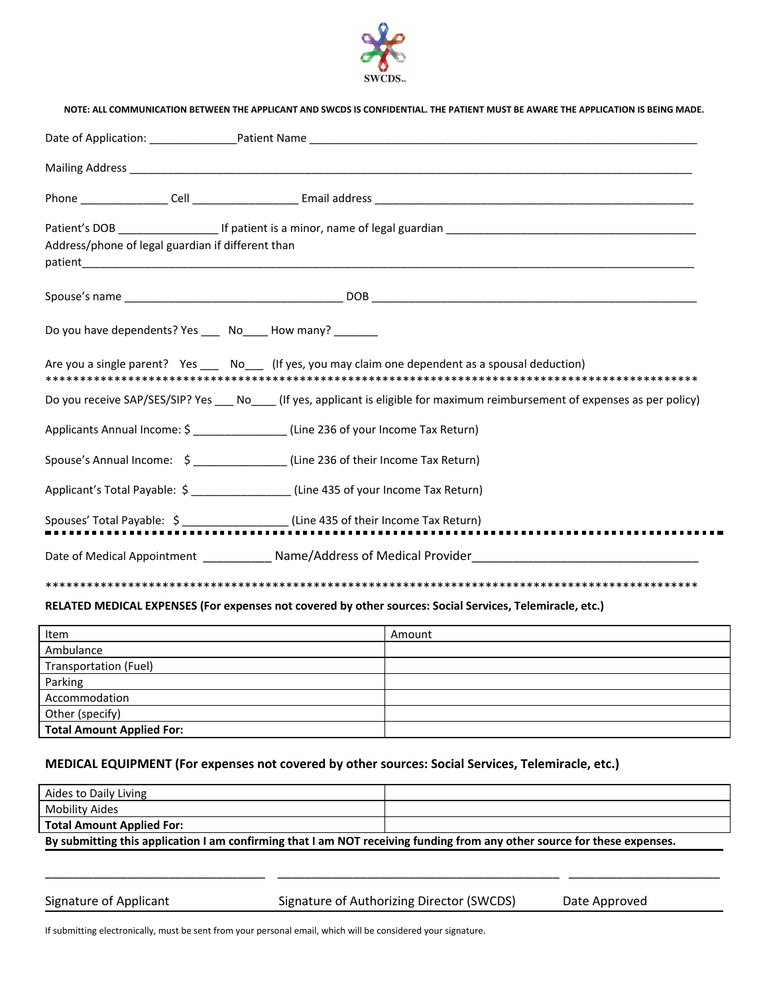

NOTE: ALL COMMUNICATION BETWEEN THE ADDUCANT AND SWCDS IS CONFIDENTIAL THE DATIENT MUST BE AWAPE THE ADDUCATION IS BEING MADE

| Address/phone of legal guardian if different than |  |                                                                                                                                |  |
|---------------------------------------------------|--|--------------------------------------------------------------------------------------------------------------------------------|--|
|                                                   |  |                                                                                                                                |  |
|                                                   |  | Do you have dependents? Yes _____ No_____ How many? ________                                                                   |  |
|                                                   |  | Are you a single parent? Yes _____ No____ (If yes, you may claim one dependent as a spousal deduction)                         |  |
|                                                   |  | Do you receive SAP/SES/SIP? Yes ___ No____ (If yes, applicant is eligible for maximum reimbursement of expenses as per policy) |  |
|                                                   |  | Applicants Annual Income: \$ _______________(Line 236 of your Income Tax Return)                                               |  |
|                                                   |  | Spouse's Annual Income: \$ ________________(Line 236 of their Income Tax Return)                                               |  |
|                                                   |  | Applicant's Total Payable: \$ _________________(Line 435 of your Income Tax Return)                                            |  |
|                                                   |  |                                                                                                                                |  |
|                                                   |  | Date of Medical Appointment _______________ Name/Address of Medical Provider__________________________________                 |  |
|                                                   |  |                                                                                                                                |  |

## **RELATED MEDICAL EXPENSES (For expenses not covered by other sources: Social Services, Telemiracle, etc.)**

| Item                             | Amount |
|----------------------------------|--------|
| Ambulance                        |        |
| Transportation (Fuel)            |        |
| Parking                          |        |
| Accommodation                    |        |
| Other (specify)                  |        |
| <b>Total Amount Applied For:</b> |        |

# **MEDICAL EQUIPMENT (For expenses not covered by other sources: Social Services, Telemiracle, etc.)**

| Aides to Daily Living                                                                                                    |  |  |  |
|--------------------------------------------------------------------------------------------------------------------------|--|--|--|
| Mobility Aides                                                                                                           |  |  |  |
| <b>Total Amount Applied For:</b>                                                                                         |  |  |  |
| By submitting this application I am confirming that I am NOT receiving funding from any other source for these expenses. |  |  |  |

\_\_\_\_\_\_\_\_\_\_\_\_\_\_\_\_\_\_\_\_\_\_\_\_\_\_\_\_\_\_\_\_ \_\_\_\_\_\_\_\_\_\_\_\_\_\_\_\_\_\_\_\_\_\_\_\_\_\_\_\_\_\_\_\_\_\_\_\_\_\_\_\_\_ \_\_\_\_\_\_\_\_\_\_\_\_\_\_\_\_\_\_\_\_\_\_

Signature of Applicant Signature of Authorizing Director (SWCDS) Date Approved

If submitting electronically, must be sent from your personal email, which will be considered your signature.